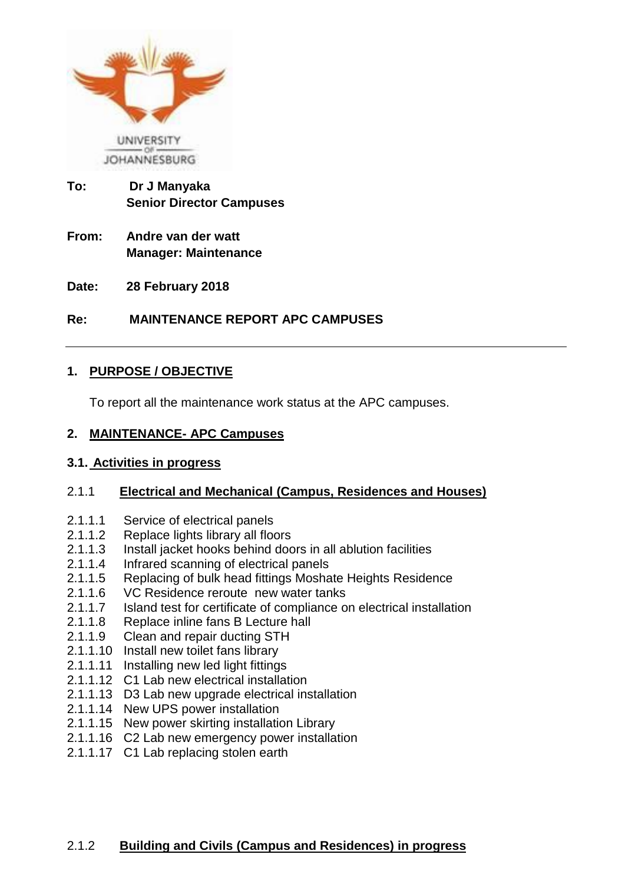

- **To: Dr J Manyaka Senior Director Campuses**
- **From: Andre van der watt Manager: Maintenance**
- **Date: 28 February 2018**

# **Re: MAINTENANCE REPORT APC CAMPUSES**

## **1. PURPOSE / OBJECTIVE**

To report all the maintenance work status at the APC campuses.

#### **2. MAINTENANCE- APC Campuses**

#### **3.1. Activities in progress**

## 2.1.1 **Electrical and Mechanical (Campus, Residences and Houses)**

- 2.1.1.1 Service of electrical panels
- 2.1.1.2 Replace lights library all floors
- 2.1.1.3 Install jacket hooks behind doors in all ablution facilities
- 2.1.1.4 Infrared scanning of electrical panels
- 2.1.1.5 Replacing of bulk head fittings Moshate Heights Residence
- 2.1.1.6 VC Residence reroute new water tanks
- 2.1.1.7 Island test for certificate of compliance on electrical installation
- 2.1.1.8 Replace inline fans B Lecture hall
- 2.1.1.9 Clean and repair ducting STH
- 2.1.1.10 Install new toilet fans library
- 2.1.1.11 Installing new led light fittings
- 2.1.1.12 C1 Lab new electrical installation
- 2.1.1.13 D3 Lab new upgrade electrical installation
- 2.1.1.14 New UPS power installation
- 2.1.1.15 New power skirting installation Library
- 2.1.1.16 C2 Lab new emergency power installation
- 2.1.1.17 C1 Lab replacing stolen earth

## 2.1.2 **Building and Civils (Campus and Residences) in progress**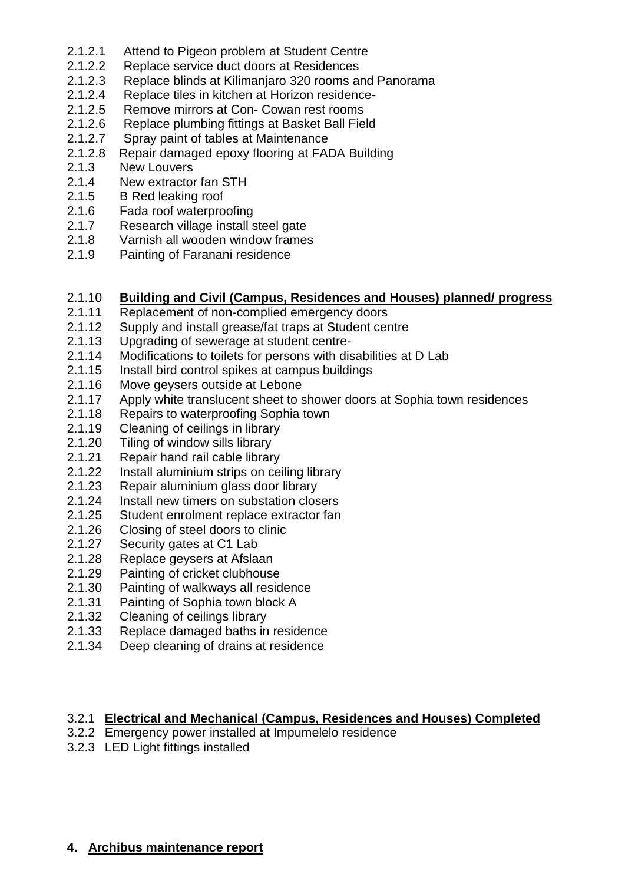- 2.1.2.1 Attend to Pigeon problem at Student Centre
- 2.1.2.2 Replace service duct doors at Residences
- 2.1.2.3 Replace blinds at Kilimanjaro 320 rooms and Panorama
- 2.1.2.4 Replace tiles in kitchen at Horizon residence-
- 2.1.2.5 Remove mirrors at Con- Cowan rest rooms
- 2.1.2.6 Replace plumbing fittings at Basket Ball Field
- 2.1.2.7 Spray paint of tables at Maintenance
- 2.1.2.8 Repair damaged epoxy flooring at FADA Building
- 2.1.3 New Louvers
- 2.1.4 New extractor fan STH
- 2.1.5 B Red leaking roof
- 2.1.6 Fada roof waterproofing
- 2.1.7 Research village install steel gate
- 2.1.8 Varnish all wooden window frames
- 2.1.9 Painting of Faranani residence

#### 2.1.10 **Building and Civil (Campus, Residences and Houses) planned/ progress**

- 2.1.11 Replacement of non-complied emergency doors
- 2.1.12 Supply and install grease/fat traps at Student centre
- 2.1.13 Upgrading of sewerage at student centre-
- 2.1.14 Modifications to toilets for persons with disabilities at D Lab
- 2.1.15 Install bird control spikes at campus buildings
- 2.1.16 Move geysers outside at Lebone
- 2.1.17 Apply white translucent sheet to shower doors at Sophia town residences
- 2.1.18 Repairs to waterproofing Sophia town
- 2.1.19 Cleaning of ceilings in library
- 2.1.20 Tiling of window sills library
- 2.1.21 Repair hand rail cable library
- 2.1.22 Install aluminium strips on ceiling library
- 2.1.23 Repair aluminium glass door library
- 2.1.24 Install new timers on substation closers
- 2.1.25 Student enrolment replace extractor fan
- 2.1.26 Closing of steel doors to clinic
- 2.1.27 Security gates at C1 Lab
- 2.1.28 Replace geysers at Afslaan
- 2.1.29 Painting of cricket clubhouse
- 2.1.30 Painting of walkways all residence
- 2.1.31 Painting of Sophia town block A
- 2.1.32 Cleaning of ceilings library<br>2.1.33 Replace damaged baths in
- Replace damaged baths in residence
- 2.1.34 Deep cleaning of drains at residence

# 3.2.1 **Electrical and Mechanical (Campus, Residences and Houses) Completed**

- 3.2.2 Emergency power installed at Impumelelo residence
- 3.2.3 LED Light fittings installed

#### **4. Archibus maintenance report**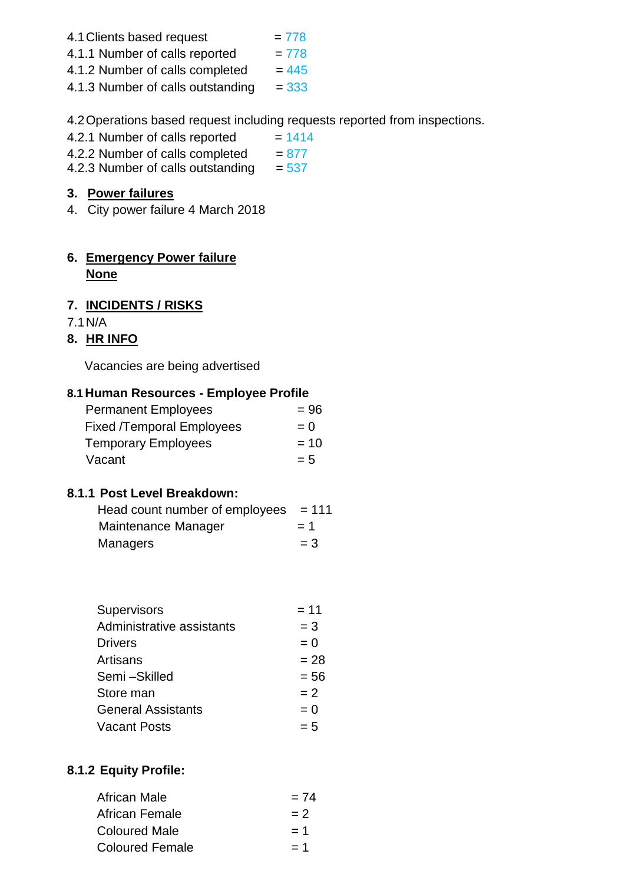- 4.1 Clients based request  $= 778$
- 4.1.1 Number of calls reported  $= 778$
- 4.1.2 Number of calls completed  $= 445$
- 4.1.3 Number of calls outstanding  $= 333$

4.2Operations based request including requests reported from inspections.

- 4.2.1 Number of calls reported  $= 1414$
- 4.2.2 Number of calls completed  $= 877$
- 4.2.3 Number of calls outstanding  $= 537$

# **3. Power failures**

4. City power failure 4 March 2018

# **6. Emergency Power failure None**

# **7. INCIDENTS / RISKS**

7.1N/A

# **8. HR INFO**

Vacancies are being advertised

## **8.1 Human Resources - Employee Profile**

| <b>Permanent Employees</b>       | $= 96$ |
|----------------------------------|--------|
| <b>Fixed /Temporal Employees</b> | $= 0$  |
| <b>Temporary Employees</b>       | $= 10$ |
| Vacant                           | $= 5$  |

## **8.1.1 Post Level Breakdown:**

| Head count number of employees $= 111$ |       |
|----------------------------------------|-------|
| Maintenance Manager                    | $= 1$ |
| <b>Managers</b>                        | $=$ 3 |

| Supervisors               | $= 11$ |
|---------------------------|--------|
| Administrative assistants | $=$ 3  |
| <b>Drivers</b>            | $= 0$  |
| Artisans                  | $= 28$ |
| Semi-Skilled              | $= 56$ |
| Store man                 | $= 2$  |
| <b>General Assistants</b> | $= 0$  |
| <b>Vacant Posts</b>       | $= 5$  |

# **8.1.2 Equity Profile:**

| African Male           | $= 74$ |
|------------------------|--------|
| African Female         | $= 2$  |
| <b>Coloured Male</b>   | $= 1$  |
| <b>Coloured Female</b> | $= 1$  |